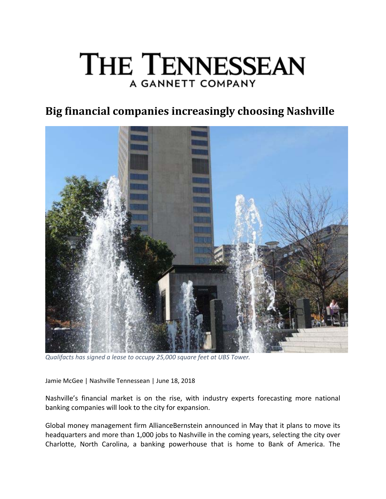# THE TENNESSEAN A GANNETT COMPANY

## **Big financial companies increasingly choosing Nashville**



*Qualifacts has signed a lease to occupy 25,000 square feet at UBS Tower.*

Jamie McGee | Nashville Tennessean | June 18, 2018

Nashville's financial market is on the rise, with industry experts forecasting more national banking companies will look to the city for expansion.

Global money management firm AllianceBernstein announced in May that it plans to move its headquarters and more than 1,000 jobs to Nashville in the coming years, selecting the city over Charlotte, North Carolina, a banking powerhouse that is home to Bank of America. The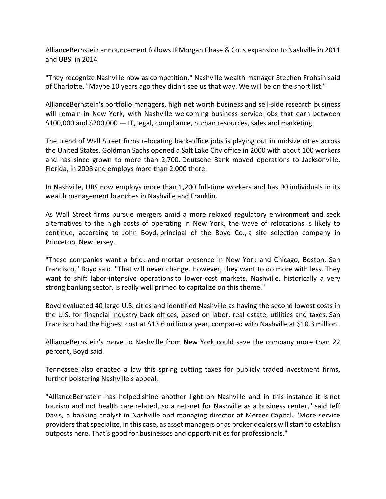AllianceBernstein announcement follows JPMorgan Chase & Co.'s expansion to Nashville in 2011 and UBS' in 2014.

"They recognize Nashville now as competition," Nashville wealth manager Stephen Frohsin said of Charlotte. "Maybe 10 years ago they didn't see us that way. We will be on the short list."

AllianceBernstein's portfolio managers, high net worth business and sell‐side research business will remain in New York, with Nashville welcoming business service jobs that earn between \$100,000 and \$200,000 — IT, legal, compliance, human resources, sales and marketing.

The trend of Wall Street firms relocating back‐office jobs is playing out in midsize cities across the United States. Goldman Sachs opened a Salt Lake City office in 2000 with about 100 workers and has since grown to more than 2,700. Deutsche Bank moved operations to Jacksonville, Florida, in 2008 and employs more than 2,000 there.

In Nashville, UBS now employs more than 1,200 full‐time workers and has 90 individuals in its wealth management branches in Nashville and Franklin.

As Wall Street firms pursue mergers amid a more relaxed regulatory environment and seek alternatives to the high costs of operating in New York, the wave of relocations is likely to continue, according to John Boyd, principal of the Boyd Co., a site selection company in Princeton, New Jersey.

"These companies want a brick‐and‐mortar presence in New York and Chicago, Boston, San Francisco," Boyd said. "That will never change. However, they want to do more with less. They want to shift labor-intensive operations to lower-cost markets. Nashville, historically a very strong banking sector, is really well primed to capitalize on this theme."

Boyd evaluated 40 large U.S. cities and identified Nashville as having the second lowest costs in the U.S. for financial industry back offices, based on labor, real estate, utilities and taxes. San Francisco had the highest cost at \$13.6 million a year, compared with Nashville at \$10.3 million.

AllianceBernstein's move to Nashville from New York could save the company more than 22 percent, Boyd said.

Tennessee also enacted a law this spring cutting taxes for publicly traded investment firms, further bolstering Nashville's appeal.

"AllianceBernstein has helped shine another light on Nashville and in this instance it is not tourism and not health care related, so a net‐net for Nashville as a business center," said Jeff Davis, a banking analyst in Nashville and managing director at Mercer Capital. "More service providers that specialize, in this case, as asset managers or as broker dealers will start to establish outposts here. That's good for businesses and opportunities for professionals."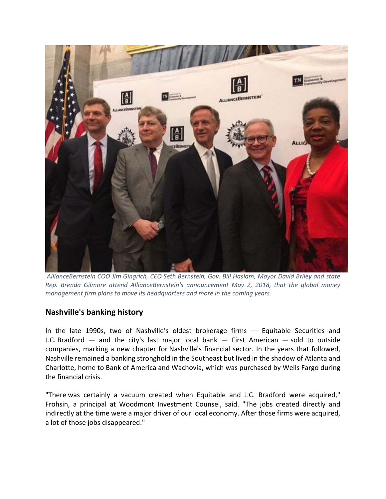

*AllianceBernstein COO Jim Gingrich, CEO Seth Bernstein, Gov. Bill Haslam, Mayor David Briley and state Rep. Brenda Gilmore attend AllianceBernstein's announcement May 2, 2018, that the global money management firm plans to move its headquarters and more in the coming years.*

### **Nashville's banking history**

In the late 1990s, two of Nashville's oldest brokerage firms — Equitable Securities and J.C. Bradford — and the city's last major local bank — First American — sold to outside companies, marking a new chapter for Nashville's financial sector. In the years that followed, Nashville remained a banking stronghold in the Southeast but lived in the shadow of Atlanta and Charlotte, home to Bank of America and Wachovia, which was purchased by Wells Fargo during the financial crisis.

"There was certainly a vacuum created when Equitable and J.C. Bradford were acquired," Frohsin, a principal at Woodmont Investment Counsel, said. "The jobs created directly and indirectly at the time were a major driver of our local economy. After those firms were acquired, a lot of those jobs disappeared."